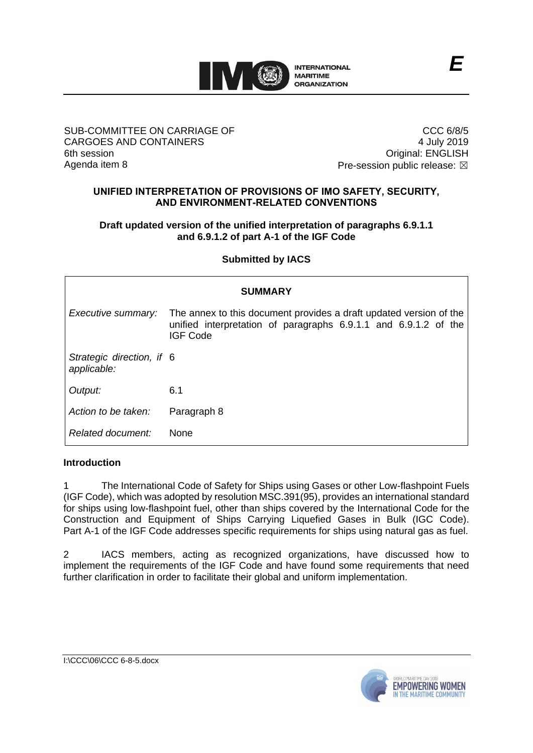

#### SUB-COMMITTEE ON CARRIAGE OF CARGOES AND CONTAINERS 6th session Agenda item 8

CCC 6/8/5 4 July 2019 Original: ENGLISH Pre-session public release:  $\boxtimes$ 

#### **UNIFIED INTERPRETATION OF PROVISIONS OF IMO SAFETY, SECURITY, AND ENVIRONMENT-RELATED CONVENTIONS**

## **Draft updated version of the unified interpretation of paragraphs 6.9.1.1 and 6.9.1.2 of part A-1 of the IGF Code**

## **Submitted by IACS**

| <b>SUMMARY</b>                           |                                                                                                                                                          |  |
|------------------------------------------|----------------------------------------------------------------------------------------------------------------------------------------------------------|--|
| Executive summary:                       | The annex to this document provides a draft updated version of the<br>unified interpretation of paragraphs 6.9.1.1 and 6.9.1.2 of the<br><b>IGF Code</b> |  |
| Strategic direction, if 6<br>applicable: |                                                                                                                                                          |  |
| Output:                                  | 6.1                                                                                                                                                      |  |
| Action to be taken:                      | Paragraph 8                                                                                                                                              |  |
| Related document:                        | <b>None</b>                                                                                                                                              |  |

#### **Introduction**

1 The International Code of Safety for Ships using Gases or other Low-flashpoint Fuels (IGF Code), which was adopted by resolution MSC.391(95), provides an international standard for ships using low-flashpoint fuel, other than ships covered by the International Code for the Construction and Equipment of Ships Carrying Liquefied Gases in Bulk (IGC Code). Part A-1 of the IGF Code addresses specific requirements for ships using natural gas as fuel.

2 IACS members, acting as recognized organizations, have discussed how to implement the requirements of the IGF Code and have found some requirements that need further clarification in order to facilitate their global and uniform implementation.

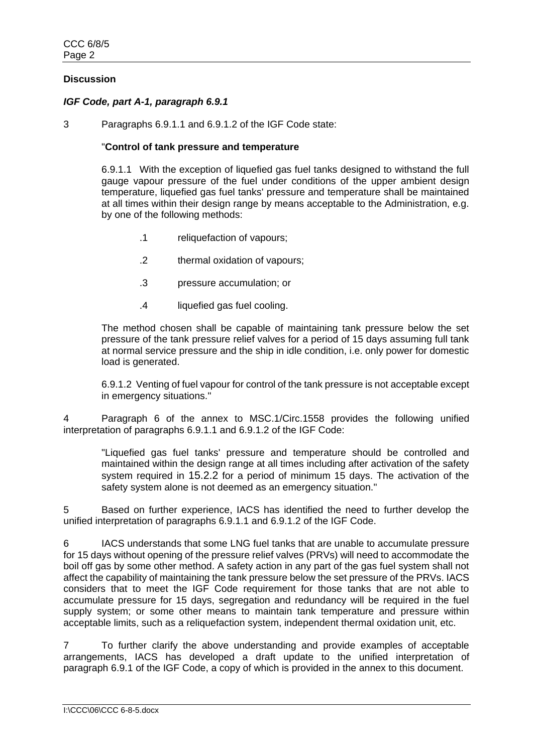## **Discussion**

## *IGF Code, part A-1, paragraph 6.9.1*

3 Paragraphs 6.9.1.1 and 6.9.1.2 of the IGF Code state:

## "**Control of tank pressure and temperature**

6.9.1.1 With the exception of liquefied gas fuel tanks designed to withstand the full gauge vapour pressure of the fuel under conditions of the upper ambient design temperature, liquefied gas fuel tanks' pressure and temperature shall be maintained at all times within their design range by means acceptable to the Administration, e.g. by one of the following methods:

- .1 reliquefaction of vapours;
- .2 thermal oxidation of vapours;
- .3 pressure accumulation; or
- .4 liquefied gas fuel cooling.

The method chosen shall be capable of maintaining tank pressure below the set pressure of the tank pressure relief valves for a period of 15 days assuming full tank at normal service pressure and the ship in idle condition, i.e. only power for domestic load is generated.

6.9.1.2 Venting of fuel vapour for control of the tank pressure is not acceptable except in emergency situations."

4 Paragraph 6 of the annex to MSC.1/Circ.1558 provides the following unified interpretation of paragraphs 6.9.1.1 and 6.9.1.2 of the IGF Code:

"Liquefied gas fuel tanks' pressure and temperature should be controlled and maintained within the design range at all times including after activation of the safety system required in 15.2.2 for a period of minimum 15 days. The activation of the safety system alone is not deemed as an emergency situation."

5 Based on further experience, IACS has identified the need to further develop the unified interpretation of paragraphs 6.9.1.1 and 6.9.1.2 of the IGF Code.

6 IACS understands that some LNG fuel tanks that are unable to accumulate pressure for 15 days without opening of the pressure relief valves (PRVs) will need to accommodate the boil off gas by some other method. A safety action in any part of the gas fuel system shall not affect the capability of maintaining the tank pressure below the set pressure of the PRVs. IACS considers that to meet the IGF Code requirement for those tanks that are not able to accumulate pressure for 15 days, segregation and redundancy will be required in the fuel supply system; or some other means to maintain tank temperature and pressure within acceptable limits, such as a reliquefaction system, independent thermal oxidation unit, etc.

7 To further clarify the above understanding and provide examples of acceptable arrangements, IACS has developed a draft update to the unified interpretation of paragraph 6.9.1 of the IGF Code, a copy of which is provided in the annex to this document.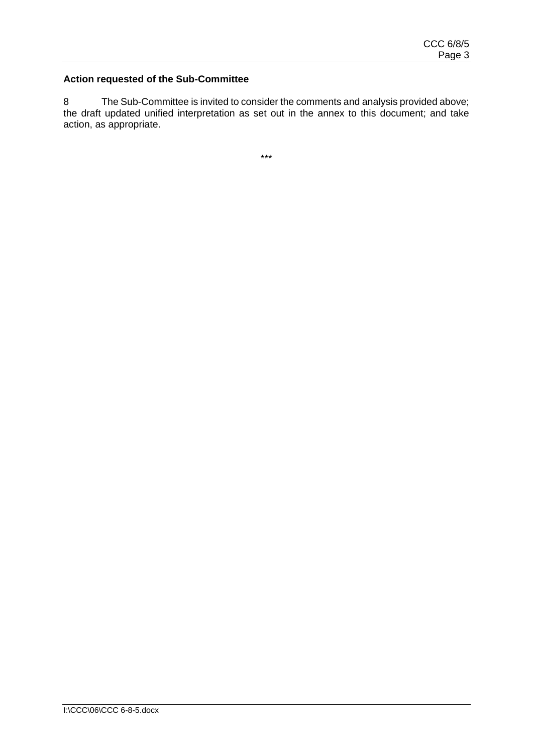## **Action requested of the Sub-Committee**

8 The Sub-Committee is invited to consider the comments and analysis provided above; the draft updated unified interpretation as set out in the annex to this document; and take action, as appropriate.

\*\*\*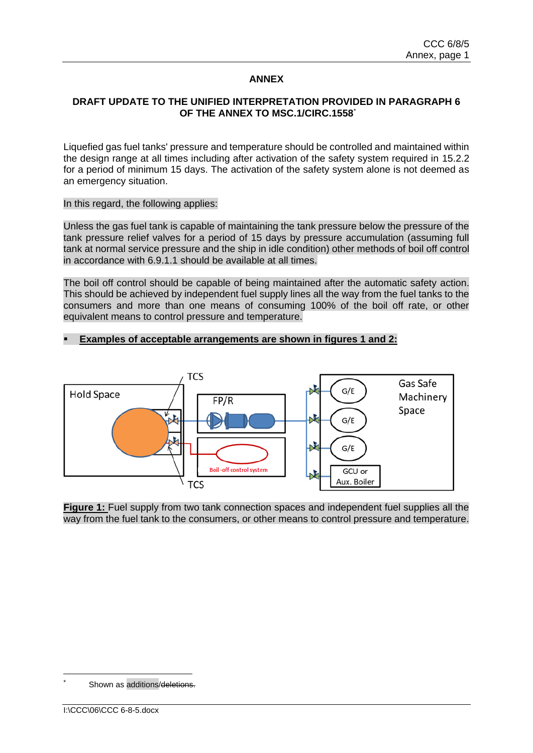# **ANNEX**

## **DRAFT UPDATE TO THE UNIFIED INTERPRETATION PROVIDED IN PARAGRAPH 6 OF THE ANNEX TO MSC.1/CIRC.1558**\*

Liquefied gas fuel tanks' pressure and temperature should be controlled and maintained within the design range at all times including after activation of the safety system required in 15.2.2 for a period of minimum 15 days. The activation of the safety system alone is not deemed as an emergency situation.

#### In this regard, the following applies:

Unless the gas fuel tank is capable of maintaining the tank pressure below the pressure of the tank pressure relief valves for a period of 15 days by pressure accumulation (assuming full tank at normal service pressure and the ship in idle condition) other methods of boil off control in accordance with 6.9.1.1 should be available at all times.

The boil off control should be capable of being maintained after the automatic safety action. This should be achieved by independent fuel supply lines all the way from the fuel tanks to the consumers and more than one means of consuming 100% of the boil off rate, or other equivalent means to control pressure and temperature.

#### ▪ **Examples of acceptable arrangements are shown in figures 1 and 2:**



**Figure 1:** Fuel supply from two tank connection spaces and independent fuel supplies all the way from the fuel tank to the consumers, or other means to control pressure and temperature.

-

Shown as additions/deletions.